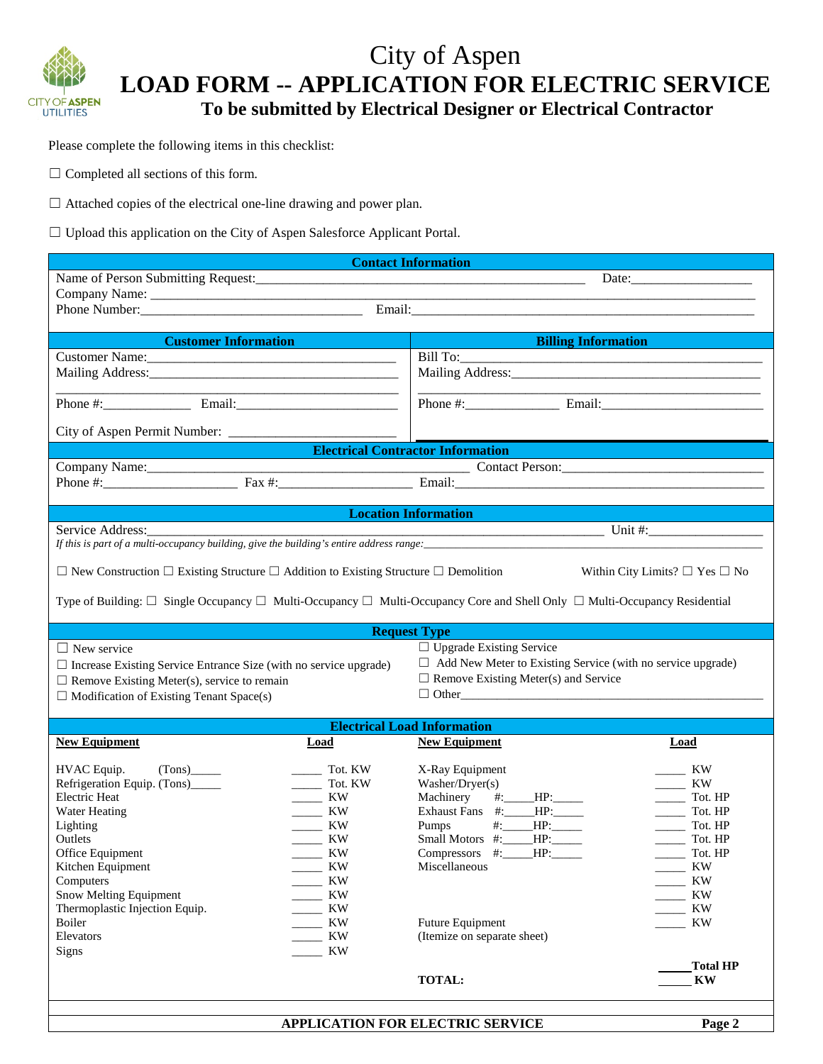

## City of Aspen **LOAD FORM -- APPLICATION FOR ELECTRIC SERVICE To be submitted by Electrical Designer or Electrical Contractor**

Please complete the following items in this checklist:

☐ Completed all sections of this form.

☐ Attached copies of the electrical one-line drawing and power plan.

□ Upload this application on the City of Aspen Salesforce Applicant Portal.

| <b>Contact Information</b>                                                                                                                                                            |                                                     |                        |
|---------------------------------------------------------------------------------------------------------------------------------------------------------------------------------------|-----------------------------------------------------|------------------------|
|                                                                                                                                                                                       |                                                     |                        |
|                                                                                                                                                                                       |                                                     |                        |
|                                                                                                                                                                                       |                                                     |                        |
|                                                                                                                                                                                       |                                                     |                        |
| <b>Customer Information</b><br>$\mathcal{L}(\mathcal{L})$ and $\mathcal{L}(\mathcal{L})$ and $\mathcal{L}(\mathcal{L})$ and $\mathcal{L}(\mathcal{L})$ and $\mathcal{L}(\mathcal{L})$ | <b>Example 2018 State State Billing Information</b> |                        |
|                                                                                                                                                                                       |                                                     |                        |
|                                                                                                                                                                                       |                                                     |                        |
|                                                                                                                                                                                       |                                                     |                        |
|                                                                                                                                                                                       |                                                     |                        |
|                                                                                                                                                                                       |                                                     |                        |
| <b>Electrical Contractor Information</b>                                                                                                                                              |                                                     |                        |
| Company Name:<br>Phone #:<br>Fax #:<br>Fax #:<br>Fax #:<br>Email:<br>Email:                                                                                                           |                                                     |                        |
|                                                                                                                                                                                       |                                                     |                        |
|                                                                                                                                                                                       |                                                     |                        |
| <b>Location Information</b>                                                                                                                                                           |                                                     |                        |
| Service Address:                                                                                                                                                                      |                                                     |                        |
| If this is part of a multi-occupancy building, give the building's entire address range:                                                                                              |                                                     |                        |
| $\Box$ New Construction $\Box$ Existing Structure $\Box$ Addition to Existing Structure $\Box$ Demolition<br>Within City Limits? $\square$ Yes $\square$ No                           |                                                     |                        |
|                                                                                                                                                                                       |                                                     |                        |
| Type of Building: $\Box$ Single Occupancy $\Box$ Multi-Occupancy $\Box$ Multi-Occupancy Core and Shell Only $\Box$ Multi-Occupancy Residential                                        |                                                     |                        |
|                                                                                                                                                                                       |                                                     |                        |
| <b>Request Type</b>                                                                                                                                                                   |                                                     |                        |
| $\Box$ Upgrade Existing Service<br>$\Box$ New service                                                                                                                                 |                                                     |                        |
| $\Box$ Add New Meter to Existing Service (with no service upgrade)<br>$\Box$ Increase Existing Service Entrance Size (with no service upgrade)                                        |                                                     |                        |
| $\Box$ Remove Existing Meter(s) and Service<br>$\Box$ Remove Existing Meter(s), service to remain                                                                                     |                                                     |                        |
| $\Box$ Modification of Existing Tenant Space(s)                                                                                                                                       |                                                     |                        |
| <b>Electrical Load Information</b>                                                                                                                                                    |                                                     |                        |
| <b>New Equipment</b><br>Load                                                                                                                                                          | <b>New Equipment</b>                                | Load                   |
|                                                                                                                                                                                       |                                                     |                        |
| HVAC Equip.<br>(Tons)<br>Tot. KW                                                                                                                                                      | X-Ray Equipment                                     | $\frac{1}{1}$ KW       |
| Refrigeration Equip. (Tons)_____<br>Tot. KW                                                                                                                                           | Washer/Dryer(s)                                     | $\frac{1}{1}$ KW       |
| <b>Electric Heat</b><br>$\frac{1}{2}$ KW                                                                                                                                              | Machinery #:____HP:_____                            | Tot. HP                |
| Water Heating<br>$\frac{1}{1}$ KW<br>$\frac{1}{1}$ KW<br>Lighting                                                                                                                     | Exhaust Fans #:____HP:____<br>Pumps #:____HP:_____  | Tot. HP<br>Tot. HP     |
| Outlets<br>KW                                                                                                                                                                         | Small Motors #: HP:                                 | Tot. HP                |
| <b>KW</b><br>Office Equipment                                                                                                                                                         | Compressors #:____HP:                               | Tot. HP                |
| KW<br>Kitchen Equipment                                                                                                                                                               | Miscellaneous                                       | KW                     |
| Computers<br>KW                                                                                                                                                                       |                                                     | KW                     |
| Snow Melting Equipment<br>ΚW                                                                                                                                                          |                                                     | KW                     |
| Thermoplastic Injection Equip.<br>KW                                                                                                                                                  |                                                     | KW                     |
| KW<br>Boiler                                                                                                                                                                          | Future Equipment                                    | KW                     |
| Elevators<br>KW                                                                                                                                                                       | (Itemize on separate sheet)                         |                        |
| KW<br><b>Signs</b>                                                                                                                                                                    |                                                     | <b>Total HP</b>        |
|                                                                                                                                                                                       | <b>TOTAL:</b>                                       | $\mathbf{K}\mathbf{W}$ |
|                                                                                                                                                                                       |                                                     |                        |
|                                                                                                                                                                                       |                                                     |                        |

 **APPLICATION FOR ELECTRIC SERVICE Page 2**